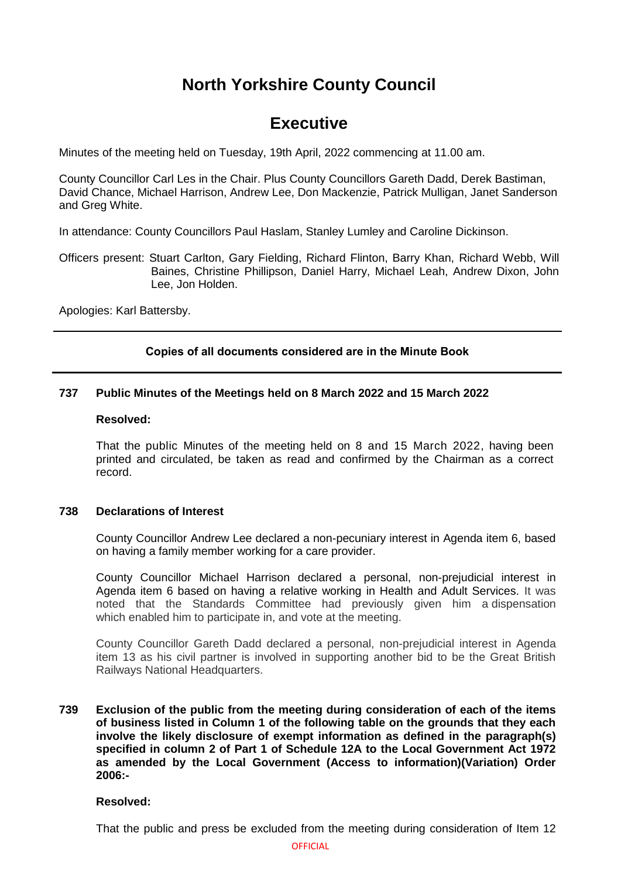# **North Yorkshire County Council**

## **Executive**

Minutes of the meeting held on Tuesday, 19th April, 2022 commencing at 11.00 am.

County Councillor Carl Les in the Chair. Plus County Councillors Gareth Dadd, Derek Bastiman, David Chance, Michael Harrison, Andrew Lee, Don Mackenzie, Patrick Mulligan, Janet Sanderson and Greg White.

In attendance: County Councillors Paul Haslam, Stanley Lumley and Caroline Dickinson.

Officers present: Stuart Carlton, Gary Fielding, Richard Flinton, Barry Khan, Richard Webb, Will Baines, Christine Phillipson, Daniel Harry, Michael Leah, Andrew Dixon, John Lee, Jon Holden.

Apologies: Karl Battersby.

## **Copies of all documents considered are in the Minute Book**

## **737 Public Minutes of the Meetings held on 8 March 2022 and 15 March 2022**

## **Resolved:**

That the public Minutes of the meeting held on 8 and 15 March 2022, having been printed and circulated, be taken as read and confirmed by the Chairman as a correct record.

## **738 Declarations of Interest**

County Councillor Andrew Lee declared a non-pecuniary interest in Agenda item 6, based on having a family member working for a care provider.

County Councillor Michael Harrison declared a personal, non-prejudicial interest in Agenda item 6 based on having a relative working in Health and Adult Services. It was noted that the Standards Committee had previously given him a dispensation which enabled him to participate in, and vote at the meeting.

County Councillor Gareth Dadd declared a personal, non-prejudicial interest in Agenda item 13 as his civil partner is involved in supporting another bid to be the Great British Railways National Headquarters.

## **739 Exclusion of the public from the meeting during consideration of each of the items of business listed in Column 1 of the following table on the grounds that they each involve the likely disclosure of exempt information as defined in the paragraph(s) specified in column 2 of Part 1 of Schedule 12A to the Local Government Act 1972 as amended by the Local Government (Access to information)(Variation) Order 2006:-**

## **Resolved:**

That the public and press be excluded from the meeting during consideration of Item 12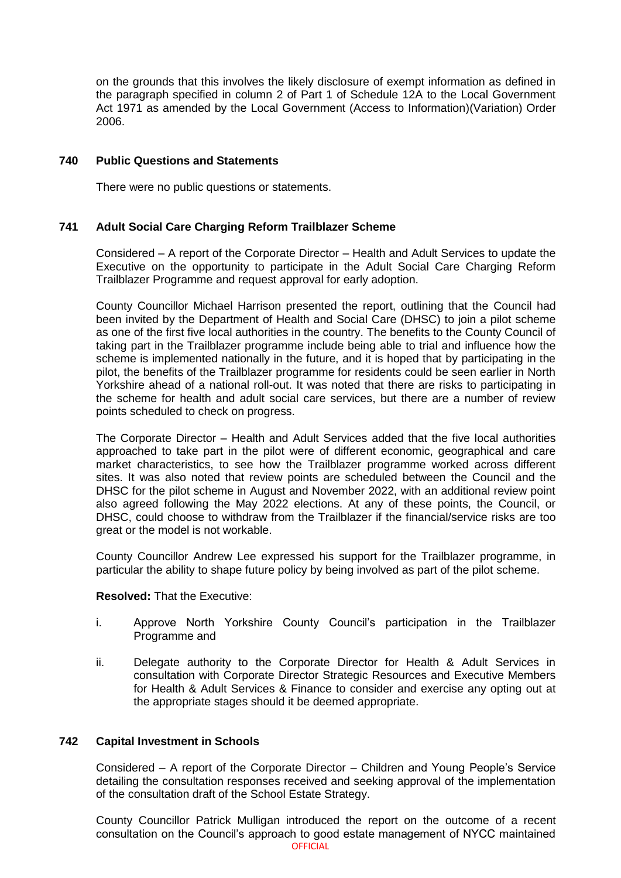on the grounds that this involves the likely disclosure of exempt information as defined in the paragraph specified in column 2 of Part 1 of Schedule 12A to the Local Government Act 1971 as amended by the Local Government (Access to Information)(Variation) Order 2006.

## **740 Public Questions and Statements**

There were no public questions or statements.

## **741 Adult Social Care Charging Reform Trailblazer Scheme**

Considered – A report of the Corporate Director – Health and Adult Services to update the Executive on the opportunity to participate in the Adult Social Care Charging Reform Trailblazer Programme and request approval for early adoption.

County Councillor Michael Harrison presented the report, outlining that the Council had been invited by the Department of Health and Social Care (DHSC) to join a pilot scheme as one of the first five local authorities in the country. The benefits to the County Council of taking part in the Trailblazer programme include being able to trial and influence how the scheme is implemented nationally in the future, and it is hoped that by participating in the pilot, the benefits of the Trailblazer programme for residents could be seen earlier in North Yorkshire ahead of a national roll-out. It was noted that there are risks to participating in the scheme for health and adult social care services, but there are a number of review points scheduled to check on progress.

The Corporate Director – Health and Adult Services added that the five local authorities approached to take part in the pilot were of different economic, geographical and care market characteristics, to see how the Trailblazer programme worked across different sites. It was also noted that review points are scheduled between the Council and the DHSC for the pilot scheme in August and November 2022, with an additional review point also agreed following the May 2022 elections. At any of these points, the Council, or DHSC, could choose to withdraw from the Trailblazer if the financial/service risks are too great or the model is not workable.

County Councillor Andrew Lee expressed his support for the Trailblazer programme, in particular the ability to shape future policy by being involved as part of the pilot scheme.

## **Resolved:** That the Executive:

- i. Approve North Yorkshire County Council's participation in the Trailblazer Programme and
- ii. Delegate authority to the Corporate Director for Health & Adult Services in consultation with Corporate Director Strategic Resources and Executive Members for Health & Adult Services & Finance to consider and exercise any opting out at the appropriate stages should it be deemed appropriate.

## **742 Capital Investment in Schools**

Considered – A report of the Corporate Director – Children and Young People's Service detailing the consultation responses received and seeking approval of the implementation of the consultation draft of the School Estate Strategy.

OFFICIAL County Councillor Patrick Mulligan introduced the report on the outcome of a recent consultation on the Council's approach to good estate management of NYCC maintained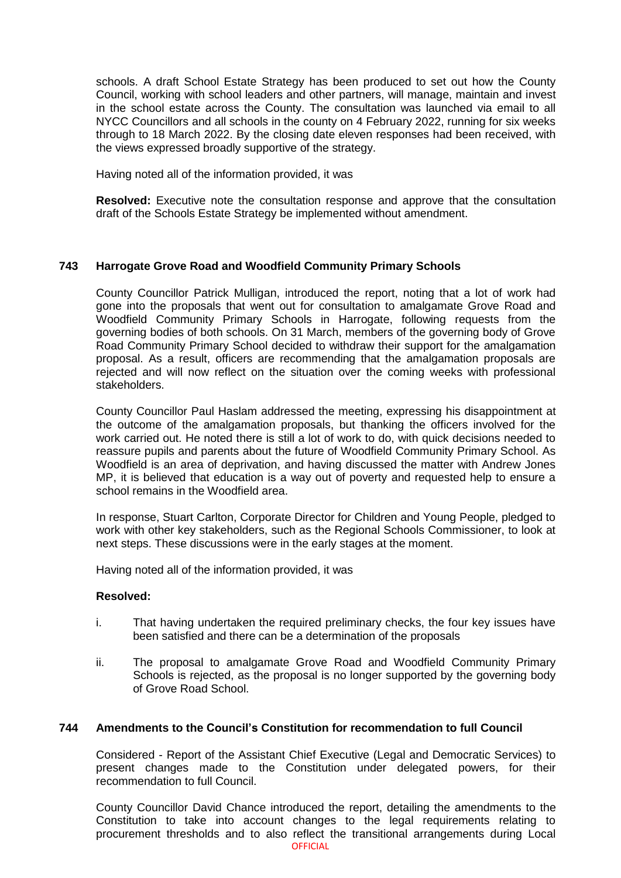schools. A draft School Estate Strategy has been produced to set out how the County Council, working with school leaders and other partners, will manage, maintain and invest in the school estate across the County. The consultation was launched via email to all NYCC Councillors and all schools in the county on 4 February 2022, running for six weeks through to 18 March 2022. By the closing date eleven responses had been received, with the views expressed broadly supportive of the strategy.

Having noted all of the information provided, it was

**Resolved:** Executive note the consultation response and approve that the consultation draft of the Schools Estate Strategy be implemented without amendment.

## **743 Harrogate Grove Road and Woodfield Community Primary Schools**

County Councillor Patrick Mulligan, introduced the report, noting that a lot of work had gone into the proposals that went out for consultation to amalgamate Grove Road and Woodfield Community Primary Schools in Harrogate, following requests from the governing bodies of both schools. On 31 March, members of the governing body of Grove Road Community Primary School decided to withdraw their support for the amalgamation proposal. As a result, officers are recommending that the amalgamation proposals are rejected and will now reflect on the situation over the coming weeks with professional stakeholders.

County Councillor Paul Haslam addressed the meeting, expressing his disappointment at the outcome of the amalgamation proposals, but thanking the officers involved for the work carried out. He noted there is still a lot of work to do, with quick decisions needed to reassure pupils and parents about the future of Woodfield Community Primary School. As Woodfield is an area of deprivation, and having discussed the matter with Andrew Jones MP, it is believed that education is a way out of poverty and requested help to ensure a school remains in the Woodfield area.

In response, Stuart Carlton, Corporate Director for Children and Young People, pledged to work with other key stakeholders, such as the Regional Schools Commissioner, to look at next steps. These discussions were in the early stages at the moment.

Having noted all of the information provided, it was

## **Resolved:**

- i. That having undertaken the required preliminary checks, the four key issues have been satisfied and there can be a determination of the proposals
- ii. The proposal to amalgamate Grove Road and Woodfield Community Primary Schools is rejected, as the proposal is no longer supported by the governing body of Grove Road School.

## **744 Amendments to the Council's Constitution for recommendation to full Council**

Considered - Report of the Assistant Chief Executive (Legal and Democratic Services) to present changes made to the Constitution under delegated powers, for their recommendation to full Council.

**OFFICIAL** County Councillor David Chance introduced the report, detailing the amendments to the Constitution to take into account changes to the legal requirements relating to procurement thresholds and to also reflect the transitional arrangements during Local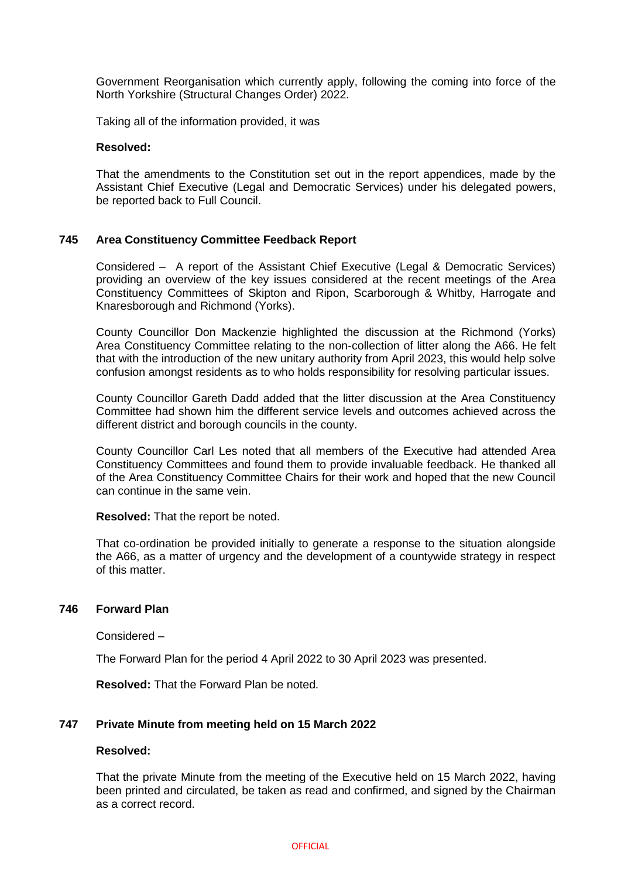Government Reorganisation which currently apply, following the coming into force of the North Yorkshire (Structural Changes Order) 2022.

Taking all of the information provided, it was

#### **Resolved:**

That the amendments to the Constitution set out in the report appendices, made by the Assistant Chief Executive (Legal and Democratic Services) under his delegated powers, be reported back to Full Council.

## **745 Area Constituency Committee Feedback Report**

Considered – A report of the Assistant Chief Executive (Legal & Democratic Services) providing an overview of the key issues considered at the recent meetings of the Area Constituency Committees of Skipton and Ripon, Scarborough & Whitby, Harrogate and Knaresborough and Richmond (Yorks).

County Councillor Don Mackenzie highlighted the discussion at the Richmond (Yorks) Area Constituency Committee relating to the non-collection of litter along the A66. He felt that with the introduction of the new unitary authority from April 2023, this would help solve confusion amongst residents as to who holds responsibility for resolving particular issues.

County Councillor Gareth Dadd added that the litter discussion at the Area Constituency Committee had shown him the different service levels and outcomes achieved across the different district and borough councils in the county.

County Councillor Carl Les noted that all members of the Executive had attended Area Constituency Committees and found them to provide invaluable feedback. He thanked all of the Area Constituency Committee Chairs for their work and hoped that the new Council can continue in the same vein.

**Resolved:** That the report be noted.

That co-ordination be provided initially to generate a response to the situation alongside the A66, as a matter of urgency and the development of a countywide strategy in respect of this matter.

## **746 Forward Plan**

Considered –

The Forward Plan for the period 4 April 2022 to 30 April 2023 was presented.

**Resolved:** That the Forward Plan be noted.

## **747 Private Minute from meeting held on 15 March 2022**

## **Resolved:**

That the private Minute from the meeting of the Executive held on 15 March 2022, having been printed and circulated, be taken as read and confirmed, and signed by the Chairman as a correct record.